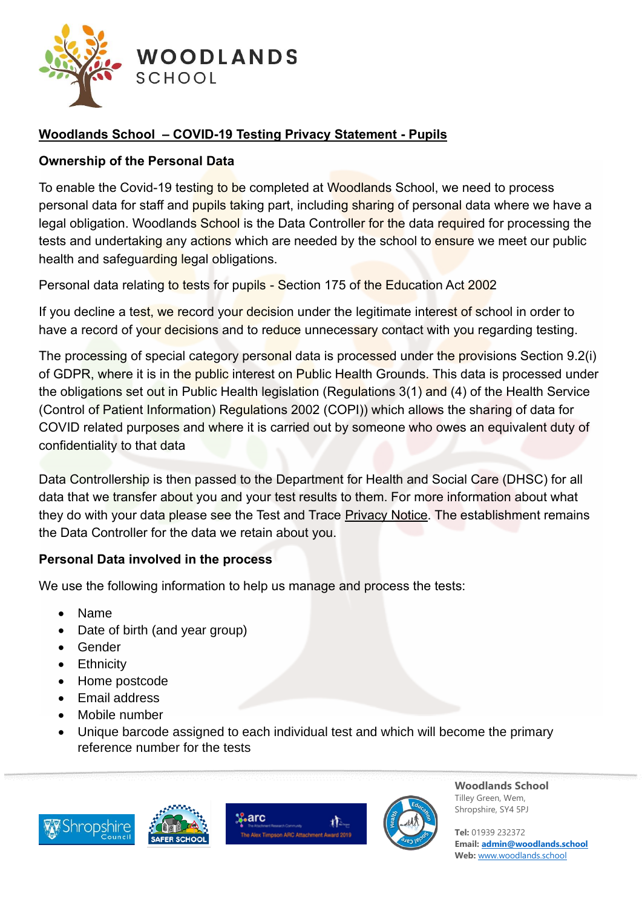

# **Woodlands School – COVID-19 Testing Privacy Statement - Pupils**

### **Ownership of the Personal Data**

To enable the Covid-19 testing to be completed at Woodlands School, we need to process personal data for staff and pupils taking part, including sharing of personal data where we have a legal obligation. Woodlands School is the Data Controller for the data required for processing the tests and undertaking any actions which are needed by the school to ensure we meet our public health and safeguarding legal obligations.

Personal data relating to tests for pupils - Section 175 of the Education Act 2002

If you decline a test, we record your decision under the legitimate interest of school in order to have a record of your decisions and to reduce unnecessary contact with you regarding testing.

The processing of special category personal data is processed under the provisions Section 9.2(i) of GDPR, where it is in the public interest on Public Health Grounds. This data is processed under the obligations set out in Public Health legislation (Regulations 3(1) and (4) of the Health Service (Control of Patient Information) Regulations 2002 (COPI)) which allows the sharing of data for COVID related purposes and where it is carried out by someone who owes an equivalent duty of confidentiality to that data

Data Controllership is then passed to the Department for Health and Social Care (DHSC) for all data that we transfer about you and your test results to them. For more information about what they do with your data please see the Test and Trace [Privacy Notice.](https://contact-tracing.phe.gov.uk/help/privacy-notice) The establishment remains the Data Controller for the data we retain about you.

#### **Personal Data involved in the process**

We use the following information to help us manage and process the tests:

- Name
- Date of birth (and year group)
- Gender
- Ethnicity
- Home postcode
- Email address
- Mobile number
- Unique barcode assigned to each individual test and which will become the primary reference number for the tests









**Woodlands School** Tilley Green, Wem, Shropshire, SY4 5PJ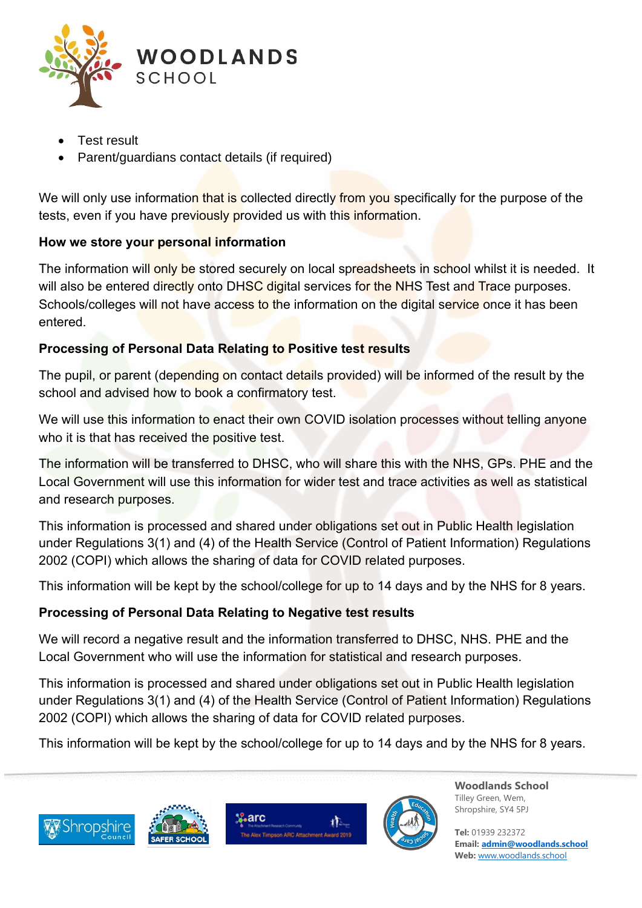

- Test result
- Parent/guardians contact details (if required)

We will only use information that is collected directly from you specifically for the purpose of the tests, even if you have previously provided us with this information.

## **How we store your personal information**

The information will only be stored securely on local spreadsheets in school whilst it is needed. It will also be entered directly onto DHSC digital services for the NHS Test and Trace purposes. Schools/colleges will not have access to the information on the digital service once it has been entered.

## **Processing of Personal Data Relating to Positive test results**

The pupil, or parent (depending on contact details provided) will be informed of the result by the school and advised how to book a confirmatory test.

We will use this information to enact their own COVID isolation processes without telling anyone who it is that has received the positive test.

The information will be transferred to DHSC, who will share this with the NHS, GPs. PHE and the Local Government will use this information for wider test and trace activities as well as statistical and research purposes.

This information is processed and shared under obligations set out in Public Health legislation under Regulations 3(1) and (4) of the Health Service (Control of Patient Information) Regulations 2002 (COPI) which allows the sharing of data for COVID related purposes.

This information will be kept by the school/college for up to 14 days and by the NHS for 8 years.

## **Processing of Personal Data Relating to Negative test results**

We will record a negative result and the information transferred to DHSC, NHS. PHE and the Local Government who will use the information for statistical and research purposes.

This information is processed and shared under obligations set out in Public Health legislation under Regulations 3(1) and (4) of the Health Service (Control of Patient Information) Regulations 2002 (COPI) which allows the sharing of data for COVID related purposes.

This information will be kept by the school/college for up to 14 days and by the NHS for 8 years.









**Woodlands School** Tilley Green, Wem, Shropshire, SY4 5PJ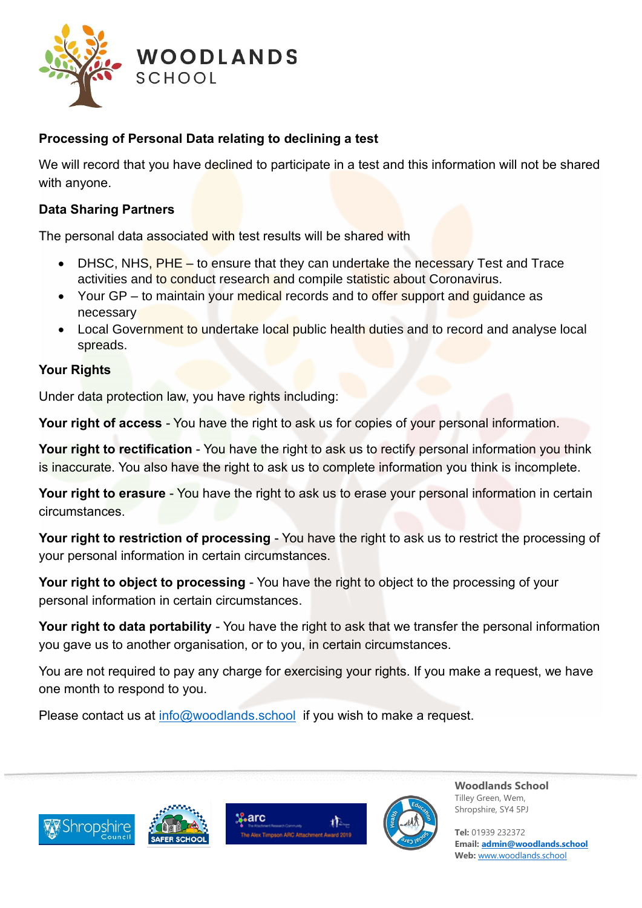

### **Processing of Personal Data relating to declining a test**

We will record that you have declined to participate in a test and this information will not be shared with anyone.

#### **Data Sharing Partners**

The personal data associated with test results will be shared with

- DHSC, NHS, PHE to ensure that they can undertake the necessary Test and Trace activities and to conduct research and compile statistic about Coronavirus.
- Your GP to maintain your medical records and to offer support and quidance as necessary
- Local Government to undertake local public health duties and to record and analyse local spreads.

### **Your Rights**

Under data protection law, you have rights including:

**Your right of access** - You have the right to ask us for copies of your personal information.

**Your right to rectification** - You have the right to ask us to rectify personal information you think is inaccurate. You also have the right to ask us to complete information you think is incomplete.

**Your right to erasure** - You have the right to ask us to erase your personal information in certain circumstances.

**Your right to restriction of processing** - You have the right to ask us to restrict the processing of your personal information in certain circumstances.

**Your right to object to processing** - You have the right to object to the processing of your personal information in certain circumstances.

**Your right to data portability** - You have the right to ask that we transfer the personal information you gave us to another organisation, or to you, in certain circumstances.

You are not required to pay any charge for exercising your rights. If you make a request, we have one month to respond to you.

Please contact us at [info@woodlands.school](mailto:info@woodlands.school) if you wish to make a request.









**Woodlands School** Tilley Green, Wem, Shropshire, SY4 5PJ